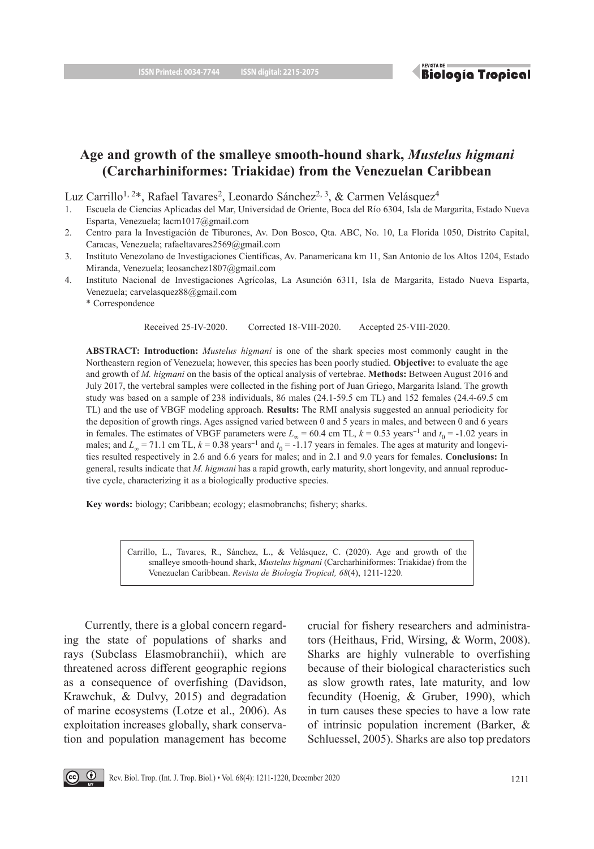**Biología Tropical** 

# **Age and growth of the smalleye smooth-hound shark,** *Mustelus higmani* **(Carcharhiniformes: Triakidae) from the Venezuelan Caribbean**

Luz Carrillo<sup>1, 2\*</sup>, Rafael Tavares<sup>2</sup>, Leonardo Sánchez<sup>2, 3</sup>, & Carmen Velásquez<sup>4</sup>

- 1. Escuela de Ciencias Aplicadas del Mar, Universidad de Oriente, Boca del Río 6304, Isla de Margarita, Estado Nueva Esparta, Venezuela; lacm1017@gmail.com
- 2. Centro para la Investigación de Tiburones, Av. Don Bosco, Qta. ABC, No. 10, La Florida 1050, Distrito Capital, Caracas, Venezuela; rafaeltavares2569@gmail.com
- 3. Instituto Venezolano de Investigaciones Científicas, Av. Panamericana km 11, San Antonio de los Altos 1204, Estado Miranda, Venezuela; leosanchez1807@gmail.com
- 4. Instituto Nacional de Investigaciones Agrícolas, La Asunción 6311, Isla de Margarita, Estado Nueva Esparta, Venezuela; carvelasquez88@gmail.com
	- \* Correspondence

Received 25-IV-2020. Corrected 18-VIII-2020. Accepted 25-VIII-2020.

**ABSTRACT: Introduction:** *Mustelus higmani* is one of the shark species most commonly caught in the Northeastern region of Venezuela; however, this species has been poorly studied. **Objective:** to evaluate the age and growth of *M. higmani* on the basis of the optical analysis of vertebrae. **Methods:** Between August 2016 and July 2017, the vertebral samples were collected in the fishing port of Juan Griego, Margarita Island. The growth study was based on a sample of 238 individuals, 86 males (24.1-59.5 cm TL) and 152 females (24.4-69.5 cm TL) and the use of VBGF modeling approach. **Results:** The RMI analysis suggested an annual periodicity for the deposition of growth rings. Ages assigned varied between 0 and 5 years in males, and between 0 and 6 years in females. The estimates of VBGF parameters were  $L_{\infty}$  = 60.4 cm TL,  $k = 0.53$  years<sup>-1</sup> and  $t_0$  = -1.02 years in males; and  $L_{\infty}$  = 71.1 cm TL,  $k$  = 0.38 years<sup>-1</sup> and  $t_0$  = -1.17 years in females. The ages at maturity and longevities resulted respectively in 2.6 and 6.6 years for males; and in 2.1 and 9.0 years for females. **Conclusions:** In general, results indicate that *M. higmani* has a rapid growth, early maturity, short longevity, and annual reproductive cycle, characterizing it as a biologically productive species.

**Key words:** biology; Caribbean; ecology; elasmobranchs; fishery; sharks.

Carrillo, L., Tavares, R., Sánchez, L., & Velásquez, C. (2020). Age and growth of the smalleye smooth-hound shark, *Mustelus higmani* (Carcharhiniformes: Triakidae) from the Venezuelan Caribbean. *Revista de Biología Tropical, 68*(4), 1211-1220.

Currently, there is a global concern regarding the state of populations of sharks and rays (Subclass Elasmobranchii), which are threatened across different geographic regions as a consequence of overfishing (Davidson, Krawchuk, & Dulvy, 2015) and degradation of marine ecosystems (Lotze et al., 2006). As exploitation increases globally, shark conservation and population management has become crucial for fishery researchers and administrators (Heithaus, Frid, Wirsing, & Worm, 2008). Sharks are highly vulnerable to overfishing because of their biological characteristics such as slow growth rates, late maturity, and low fecundity (Hoenig, & Gruber, 1990), which in turn causes these species to have a low rate of intrinsic population increment (Barker, & Schluessel, 2005). Sharks are also top predators

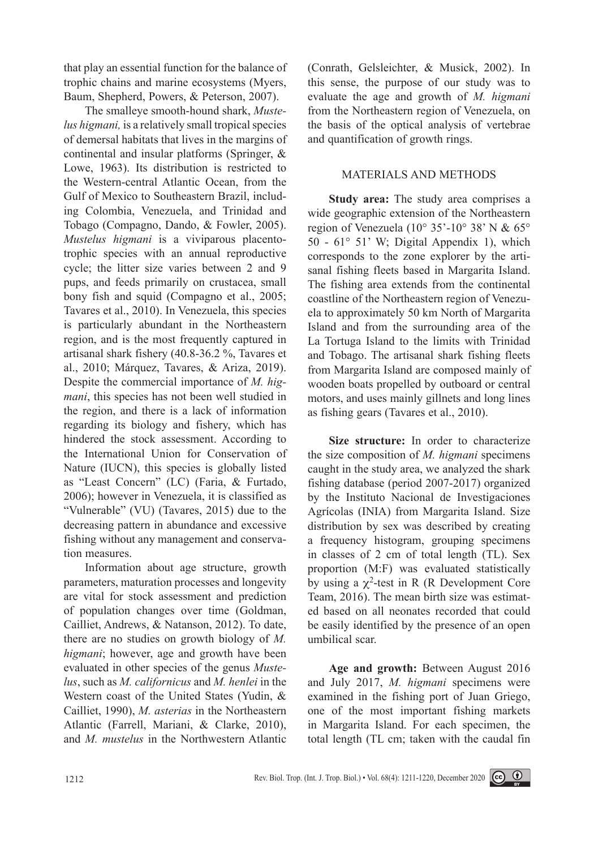that play an essential function for the balance of trophic chains and marine ecosystems (Myers, Baum, Shepherd, Powers, & Peterson, 2007).

The smalleye smooth-hound shark, *Mustelus higmani,* is a relatively small tropical species of demersal habitats that lives in the margins of continental and insular platforms (Springer, & Lowe, 1963). Its distribution is restricted to the Western-central Atlantic Ocean, from the Gulf of Mexico to Southeastern Brazil, including Colombia, Venezuela, and Trinidad and Tobago (Compagno, Dando, & Fowler, 2005). *Mustelus higmani* is a viviparous placentotrophic species with an annual reproductive cycle; the litter size varies between 2 and 9 pups, and feeds primarily on crustacea, small bony fish and squid (Compagno et al., 2005; Tavares et al., 2010). In Venezuela, this species is particularly abundant in the Northeastern region, and is the most frequently captured in artisanal shark fishery (40.8-36.2 %, Tavares et al., 2010; Márquez, Tavares, & Ariza, 2019). Despite the commercial importance of *M. higmani*, this species has not been well studied in the region, and there is a lack of information regarding its biology and fishery, which has hindered the stock assessment. According to the International Union for Conservation of Nature (IUCN), this species is globally listed as "Least Concern" (LC) (Faria, & Furtado, 2006); however in Venezuela, it is classified as "Vulnerable" (VU) (Tavares, 2015) due to the decreasing pattern in abundance and excessive fishing without any management and conservation measures.

Information about age structure, growth parameters, maturation processes and longevity are vital for stock assessment and prediction of population changes over time (Goldman, Cailliet, Andrews, & Natanson, 2012). To date, there are no studies on growth biology of *M. higmani*; however, age and growth have been evaluated in other species of the genus *Mustelus*, such as *M. californicus* and *M. henlei* in the Western coast of the United States (Yudin, & Cailliet, 1990), *M. asterias* in the Northeastern Atlantic (Farrell, Mariani, & Clarke, 2010), and *M. mustelus* in the Northwestern Atlantic

(Conrath, Gelsleichter, & Musick, 2002). In this sense, the purpose of our study was to evaluate the age and growth of *M. higmani* from the Northeastern region of Venezuela, on the basis of the optical analysis of vertebrae and quantification of growth rings.

# MATERIALS AND METHODS

**Study area:** The study area comprises a wide geographic extension of the Northeastern region of Venezuela (10° 35'-10° 38' N & 65° 50 - 61° 51' W; Digital Appendix 1), which corresponds to the zone explorer by the artisanal fishing fleets based in Margarita Island. The fishing area extends from the continental coastline of the Northeastern region of Venezuela to approximately 50 km North of Margarita Island and from the surrounding area of the La Tortuga Island to the limits with Trinidad and Tobago. The artisanal shark fishing fleets from Margarita Island are composed mainly of wooden boats propelled by outboard or central motors, and uses mainly gillnets and long lines as fishing gears (Tavares et al., 2010).

**Size structure:** In order to characterize the size composition of *M. higmani* specimens caught in the study area, we analyzed the shark fishing database (period 2007-2017) organized by the Instituto Nacional de Investigaciones Agrícolas (INIA) from Margarita Island. Size distribution by sex was described by creating a frequency histogram, grouping specimens in classes of 2 cm of total length (TL). Sex proportion (M:F) was evaluated statistically by using a  $\chi^2$ -test in R (R Development Core Team, 2016). The mean birth size was estimated based on all neonates recorded that could be easily identified by the presence of an open umbilical scar.

**Age and growth:** Between August 2016 and July 2017, *M. higmani* specimens were examined in the fishing port of Juan Griego, one of the most important fishing markets in Margarita Island. For each specimen, the total length (TL cm; taken with the caudal fin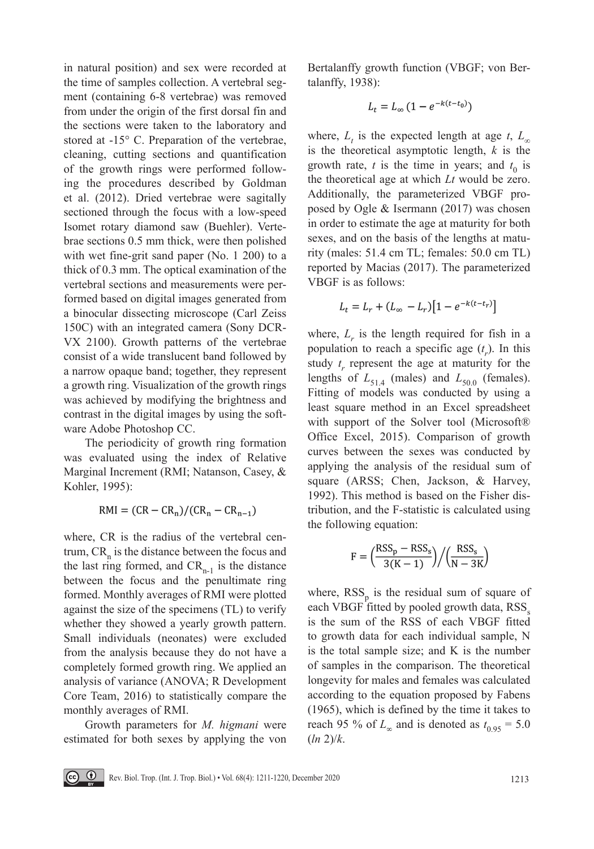in natural position) and sex were recorded at the time of samples collection. A vertebral segment (containing 6-8 vertebrae) was removed from under the origin of the first dorsal fin and the sections were taken to the laboratory and stored at -15° C. Preparation of the vertebrae, cleaning, cutting sections and quantification of the growth rings were performed following the procedures described by Goldman et al. (2012). Dried vertebrae were sagitally sectioned through the focus with a low-speed Isomet rotary diamond saw (Buehler). Vertebrae sections 0.5 mm thick, were then polished with wet fine-grit sand paper (No. 1 200) to a thick of 0.3 mm. The optical examination of the vertebral sections and measurements were performed based on digital images generated from a binocular dissecting microscope (Carl Zeiss 150C) with an integrated camera (Sony DCR-VX 2100). Growth patterns of the vertebrae consist of a wide translucent band followed by a narrow opaque band; together, they represent a growth ring. Visualization of the growth rings was achieved by modifying the brightness and contrast in the digital images by using the software Adobe Photoshop CC.

The periodicity of growth ring formation was evaluated using the index of Relative Marginal Increment (RMI; Natanson, Casey, & Kohler, 1995):

 $RMI = (CR - CR_n)/(CR_n - CR_{n-1})$ 

where, CR is the radius of the vertebral centrum,  $CR_n$  is the distance between the focus and the last ring formed, and  $CR_{n-1}$  is the distance between the focus and the penultimate ring formed. Monthly averages of RMI were plotted against the size of the specimens (TL) to verify whether they showed a yearly growth pattern. Small individuals (neonates) were excluded from the analysis because they do not have a completely formed growth ring. We applied an analysis of variance (ANOVA; R Development Core Team, 2016) to statistically compare the monthly averages of RMI.

Growth parameters for *M. higmani* were estimated for both sexes by applying the von Bertalanffy growth function (VBGF; von Bertalanffy, 1938):

$$
L_t = L_{\infty} \left( 1 - e^{-k(t - t_0)} \right)
$$

where,  $L_t$  is the expected length at age *t*,  $L_\infty$ is the theoretical asymptotic length, *k* is the growth rate,  $t$  is the time in years; and  $t_0$  is the theoretical age at which *Lt* would be zero. Additionally, the parameterized VBGF proposed by Ogle & Isermann (2017) was chosen in order to estimate the age at maturity for both sexes, and on the basis of the lengths at maturity (males: 51.4 cm TL; females: 50.0 cm TL) reported by Macias (2017). The parameterized VBGF is as follows:

$$
L_t = L_r + (L_{\infty} - L_r)[1 - e^{-k(t - t_r)}]
$$

where,  $L_r$  is the length required for fish in a population to reach a specific age  $(t<sub>r</sub>)$ . In this study  $t_r$  represent the age at maturity for the lengths of  $L_{51.4}$  (males) and  $L_{50.0}$  (females). Fitting of models was conducted by using a least square method in an Excel spreadsheet with support of the Solver tool (Microsoft® Office Excel, 2015). Comparison of growth curves between the sexes was conducted by applying the analysis of the residual sum of square (ARSS; Chen, Jackson, & Harvey, 1992). This method is based on the Fisher distribution, and the F-statistic is calculated using the following equation:

$$
F = \left(\frac{\text{RSS}_{p} - \text{RSS}_{s}}{3(K-1)}\right) / \left(\frac{\text{RSS}_{s}}{N-3K}\right)
$$

where,  $RSS<sub>n</sub>$  is the residual sum of square of each VBGF fitted by pooled growth data, RSS<sub>s</sub> is the sum of the RSS of each VBGF fitted to growth data for each individual sample, N is the total sample size; and K is the number of samples in the comparison. The theoretical longevity for males and females was calculated according to the equation proposed by Fabens (1965), which is defined by the time it takes to reach 95 % of  $L_{\infty}$  and is denoted as  $t_{0.95} = 5.0$ (*ln* 2)/*k*.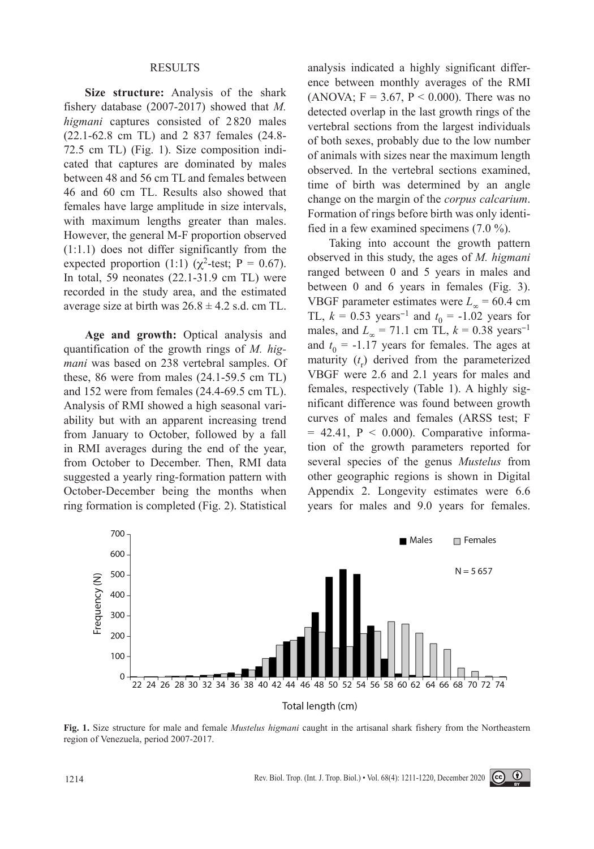#### RESULTS

**Size structure:** Analysis of the shark fishery database (2007-2017) showed that *M. higmani* captures consisted of 2 820 males (22.1-62.8 cm TL) and 2 837 females (24.8- 72.5 cm TL) (Fig. 1). Size composition indicated that captures are dominated by males between 48 and 56 cm TL and females between 46 and 60 cm TL. Results also showed that females have large amplitude in size intervals, with maximum lengths greater than males. However, the general M-F proportion observed (1:1.1) does not differ significantly from the expected proportion (1:1) ( $\chi^2$ -test; P = 0.67). In total, 59 neonates (22.1-31.9 cm TL) were recorded in the study area, and the estimated average size at birth was  $26.8 \pm 4.2$  s.d. cm TL.

**Age and growth:** Optical analysis and quantification of the growth rings of *M. higmani* was based on 238 vertebral samples. Of these, 86 were from males (24.1-59.5 cm TL) and 152 were from females (24.4-69.5 cm TL). Analysis of RMI showed a high seasonal variability but with an apparent increasing trend from January to October, followed by a fall in RMI averages during the end of the year, from October to December. Then, RMI data suggested a yearly ring-formation pattern with October-December being the months when ring formation is completed (Fig. 2). Statistical

analysis indicated a highly significant difference between monthly averages of the RMI (ANOVA;  $F = 3.67$ ,  $P < 0.000$ ). There was no detected overlap in the last growth rings of the vertebral sections from the largest individuals of both sexes, probably due to the low number of animals with sizes near the maximum length observed. In the vertebral sections examined, time of birth was determined by an angle change on the margin of the *corpus calcarium*. Formation of rings before birth was only identified in a few examined specimens (7.0 %).

Taking into account the growth pattern observed in this study, the ages of *M. higmani* ranged between 0 and 5 years in males and between 0 and 6 years in females (Fig. 3). VBGF parameter estimates were  $L_{\infty}$  = 60.4 cm TL,  $k = 0.53 \text{ years}^{-1}$  and  $t_0 = -1.02 \text{ years}$  for males, and  $L_{\infty} = 71.1$  cm TL,  $k = 0.38$  years<sup>-1</sup> and  $t_0 = -1.17$  years for females. The ages at maturity  $(t_r)$  derived from the parameterized VBGF were 2.6 and 2.1 years for males and females, respectively (Table 1). A highly significant difference was found between growth curves of males and females (ARSS test; F  $= 42.41$ ,  $P < 0.000$ ). Comparative information of the growth parameters reported for several species of the genus *Mustelus* from other geographic regions is shown in Digital Appendix 2. Longevity estimates were 6.6 years for males and 9.0 years for females.



**Fig. 1.** Size structure for male and female *Mustelus higmani* caught in the artisanal shark fishery from the Northeastern region of Venezuela, period 2007-2017.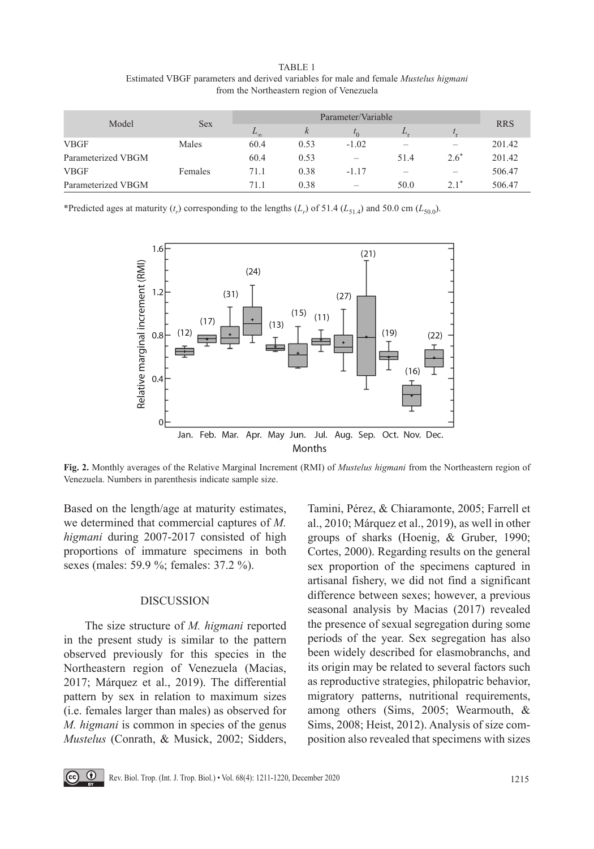TABLE 1 Estimated VBGF parameters and derived variables for male and female *Mustelus higmani* from the Northeastern region of Venezuela

| Model              | Sex     | Parameter/Variable |      |                          |                          |         |            |
|--------------------|---------|--------------------|------|--------------------------|--------------------------|---------|------------|
|                    |         | $L_{\infty}$       | k    | $\iota_0$                | L.                       |         | <b>RRS</b> |
| <b>VBGF</b>        | Males   | 60.4               | 0.53 | $-1.02$                  | -                        |         | 201.42     |
| Parameterized VBGM |         | 60.4               | 0.53 | $\overline{\phantom{a}}$ | 51.4                     | $2.6^*$ | 201.42     |
| <b>VBGF</b>        | Females | 71.1               | 0.38 | $-1.17$                  | $\overline{\phantom{a}}$ |         | 506.47     |
| Parameterized VBGM |         | 71.1               | 0.38 | $\overline{\phantom{a}}$ | 50.0                     | $2.1*$  | 506.47     |

\*Predicted ages at maturity  $(t_r)$  corresponding to the lengths  $(L_r)$  of 51.4  $(L_{51.4})$  and 50.0 cm  $(L_{50.0})$ .



**Fig. 2.** Monthly averages of the Relative Marginal Increment (RMI) of *Mustelus higmani* from the Northeastern region of Venezuela. Numbers in parenthesis indicate sample size.

Based on the length/age at maturity estimates, we determined that commercial captures of *M. higmani* during 2007-2017 consisted of high proportions of immature specimens in both sexes (males: 59.9 %; females: 37.2 %).

## DISCUSSION

The size structure of *M. higmani* reported in the present study is similar to the pattern observed previously for this species in the Northeastern region of Venezuela (Macias, 2017; Márquez et al., 2019). The differential pattern by sex in relation to maximum sizes (i.e. females larger than males) as observed for *M. higmani* is common in species of the genus *Mustelus* (Conrath, & Musick, 2002; Sidders,

Tamini, Pérez, & Chiaramonte, 2005; Farrell et al., 2010; Márquez et al., 2019), as well in other groups of sharks (Hoenig, & Gruber, 1990; Cortes, 2000). Regarding results on the general sex proportion of the specimens captured in artisanal fishery, we did not find a significant difference between sexes; however, a previous seasonal analysis by Macias (2017) revealed the presence of sexual segregation during some periods of the year. Sex segregation has also been widely described for elasmobranchs, and its origin may be related to several factors such as reproductive strategies, philopatric behavior, migratory patterns, nutritional requirements, among others (Sims, 2005; Wearmouth, & Sims, 2008; Heist, 2012). Analysis of size composition also revealed that specimens with sizes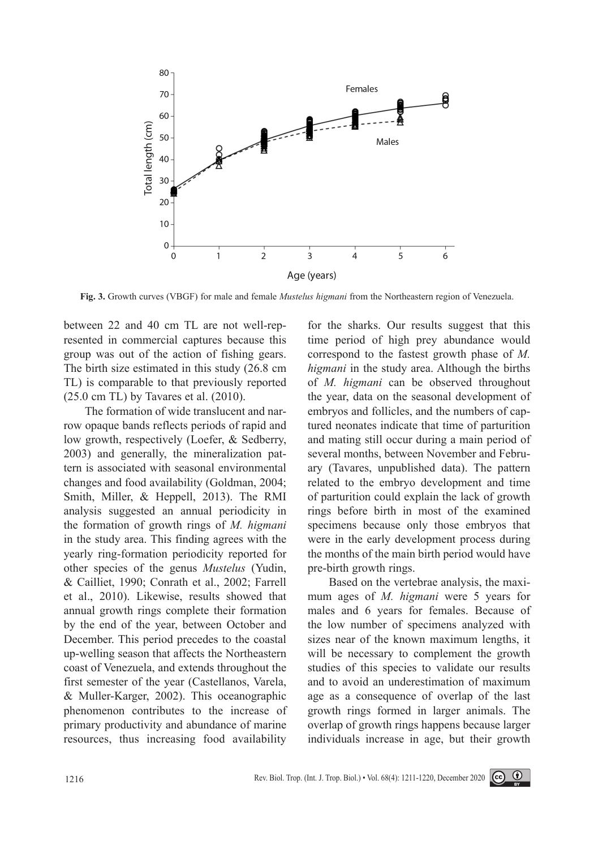

**Fig. 3.** Growth curves (VBGF) for male and female *Mustelus higmani* from the Northeastern region of Venezuela.

between 22 and 40 cm TL are not well-represented in commercial captures because this group was out of the action of fishing gears. The birth size estimated in this study (26.8 cm TL) is comparable to that previously reported (25.0 cm TL) by Tavares et al. (2010).

The formation of wide translucent and narrow opaque bands reflects periods of rapid and low growth, respectively (Loefer, & Sedberry, 2003) and generally, the mineralization pattern is associated with seasonal environmental changes and food availability (Goldman, 2004; Smith, Miller, & Heppell, 2013). The RMI analysis suggested an annual periodicity in the formation of growth rings of *M. higmani* in the study area. This finding agrees with the yearly ring-formation periodicity reported for other species of the genus *Mustelus* (Yudin, & Cailliet, 1990; Conrath et al., 2002; Farrell et al., 2010). Likewise, results showed that annual growth rings complete their formation by the end of the year, between October and December. This period precedes to the coastal up-welling season that affects the Northeastern coast of Venezuela, and extends throughout the first semester of the year (Castellanos, Varela, & Muller-Karger, 2002). This oceanographic phenomenon contributes to the increase of primary productivity and abundance of marine resources, thus increasing food availability

for the sharks. Our results suggest that this time period of high prey abundance would correspond to the fastest growth phase of *M. higmani* in the study area. Although the births of *M. higmani* can be observed throughout the year, data on the seasonal development of embryos and follicles, and the numbers of captured neonates indicate that time of parturition and mating still occur during a main period of several months, between November and February (Tavares, unpublished data). The pattern related to the embryo development and time of parturition could explain the lack of growth rings before birth in most of the examined specimens because only those embryos that were in the early development process during the months of the main birth period would have pre-birth growth rings.

Based on the vertebrae analysis, the maximum ages of *M. higmani* were 5 years for males and 6 years for females. Because of the low number of specimens analyzed with sizes near of the known maximum lengths, it will be necessary to complement the growth studies of this species to validate our results and to avoid an underestimation of maximum age as a consequence of overlap of the last growth rings formed in larger animals. The overlap of growth rings happens because larger individuals increase in age, but their growth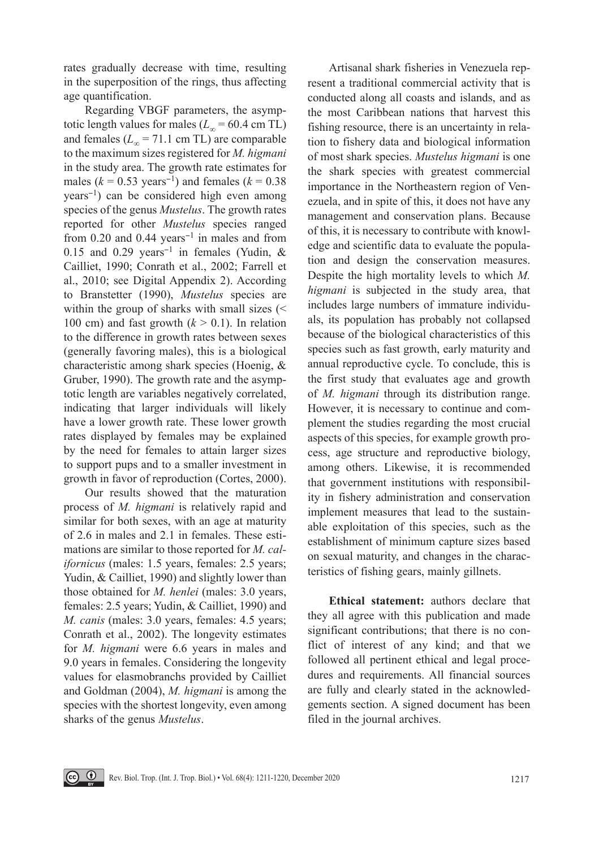rates gradually decrease with time, resulting in the superposition of the rings, thus affecting age quantification.

Regarding VBGF parameters, the asymptotic length values for males ( $L_{\infty}$  = 60.4 cm TL) and females ( $L_{\infty}$  = 71.1 cm TL) are comparable to the maximum sizes registered for *M. higmani* in the study area. The growth rate estimates for males ( $k = 0.53$  years<sup>-1</sup>) and females ( $k = 0.38$ years<sup>−</sup>1) can be considered high even among species of the genus *Mustelus*. The growth rates reported for other *Mustelus* species ranged from 0.20 and 0.44 years<sup>−</sup>1 in males and from 0.15 and 0.29 years<sup>−</sup>1 in females (Yudin, & Cailliet, 1990; Conrath et al., 2002; Farrell et al., 2010; see Digital Appendix 2). According to Branstetter (1990), *Mustelus* species are within the group of sharks with small sizes (< 100 cm) and fast growth  $(k > 0.1)$ . In relation to the difference in growth rates between sexes (generally favoring males), this is a biological characteristic among shark species (Hoenig, & Gruber, 1990). The growth rate and the asymptotic length are variables negatively correlated, indicating that larger individuals will likely have a lower growth rate. These lower growth rates displayed by females may be explained by the need for females to attain larger sizes to support pups and to a smaller investment in growth in favor of reproduction (Cortes, 2000).

Our results showed that the maturation process of *M. higmani* is relatively rapid and similar for both sexes, with an age at maturity of 2.6 in males and 2.1 in females. These estimations are similar to those reported for *M. californicus* (males: 1.5 years, females: 2.5 years; Yudin, & Cailliet, 1990) and slightly lower than those obtained for *M. henlei* (males: 3.0 years, females: 2.5 years; Yudin, & Cailliet, 1990) and *M. canis* (males: 3.0 years, females: 4.5 years; Conrath et al., 2002). The longevity estimates for *M. higmani* were 6.6 years in males and 9.0 years in females. Considering the longevity values for elasmobranchs provided by Cailliet and Goldman (2004), *M. higmani* is among the species with the shortest longevity, even among sharks of the genus *Mustelus*.

Artisanal shark fisheries in Venezuela represent a traditional commercial activity that is conducted along all coasts and islands, and as the most Caribbean nations that harvest this fishing resource, there is an uncertainty in relation to fishery data and biological information of most shark species. *Mustelus higmani* is one the shark species with greatest commercial importance in the Northeastern region of Venezuela, and in spite of this, it does not have any management and conservation plans. Because of this, it is necessary to contribute with knowledge and scientific data to evaluate the population and design the conservation measures. Despite the high mortality levels to which *M. higmani* is subjected in the study area, that includes large numbers of immature individuals, its population has probably not collapsed because of the biological characteristics of this species such as fast growth, early maturity and annual reproductive cycle. To conclude, this is the first study that evaluates age and growth of *M. higmani* through its distribution range. However, it is necessary to continue and complement the studies regarding the most crucial aspects of this species, for example growth process, age structure and reproductive biology, among others. Likewise, it is recommended that government institutions with responsibility in fishery administration and conservation implement measures that lead to the sustainable exploitation of this species, such as the establishment of minimum capture sizes based on sexual maturity, and changes in the characteristics of fishing gears, mainly gillnets.

**Ethical statement:** authors declare that they all agree with this publication and made significant contributions; that there is no conflict of interest of any kind; and that we followed all pertinent ethical and legal procedures and requirements. All financial sources are fully and clearly stated in the acknowledgements section. A signed document has been filed in the journal archives.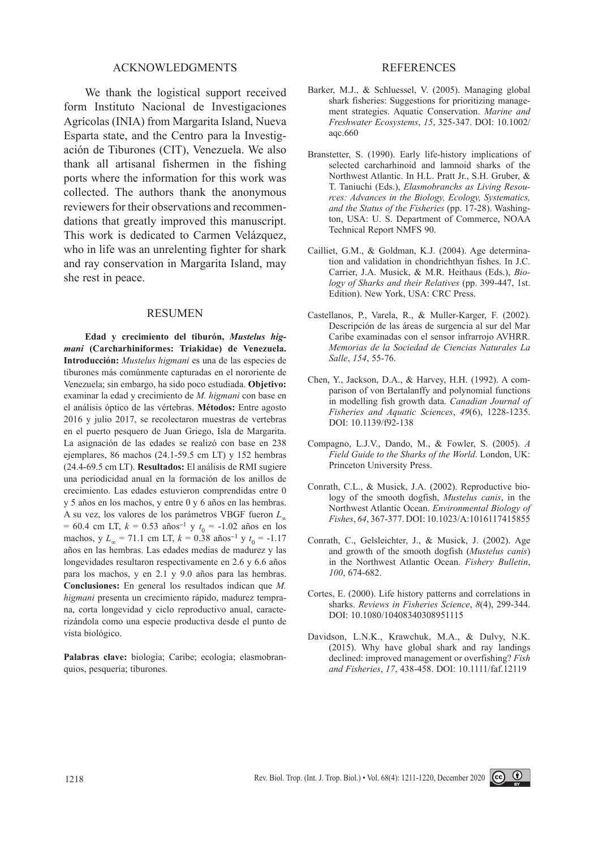## ACKNOWLEDGMENTS

We thank the logistical support received form Instituto Nacional de Investigaciones Agrícolas (INIA) from Margarita Island, Nueva Esparta state, and the Centro para la Investigación de Tiburones (CIT), Venezuela. We also thank all artisanal fishermen in the fishing ports where the information for this work was collected. The authors thank the anonymous reviewers for their observations and recommendations that greatly improved this manuscript. This work is dedicated to Carmen Velázquez, who in life was an unrelenting fighter for shark and ray conservation in Margarita Island, may she rest in peace.

### RESUMEN

**Edad y crecimiento del tiburón,** *Mustelus higmani* **(Carcharhiniformes: Triakidae) de Venezuela. Introducción:** *Mustelus higmani* es una de las especies de tiburones más comúnmente capturadas en el nororiente de Venezuela; sin embargo, ha sido poco estudiada. **Objetivo:**  examinar la edad y crecimiento de *M. higmani* con base en el análisis óptico de las vértebras. **Métodos:** Entre agosto 2016 y julio 2017, se recolectaron muestras de vertebras en el puerto pesquero de Juan Griego, Isla de Margarita. La asignación de las edades se realizó con base en 238 ejemplares, 86 machos (24.1-59.5 cm LT) y 152 hembras (24.4-69.5 cm LT). **Resultados:** El análisis de RMI sugiere una periodicidad anual en la formación de los anillos de crecimiento. Las edades estuvieron comprendidas entre 0 y 5 años en los machos, y entre 0 y 6 años en las hembras. A su vez, los valores de los parámetros VBGF fueron *L*<sup>∞</sup> = 60.4 cm LT, *k* = 0.53 años<sup>−</sup>1 y *t* 0 = -1.02 años en los machos, y *L*∞ = 71.1 cm LT, *k* = 0.38 años<sup>−</sup>1 y *t* 0 = -1.17 años en las hembras. Las edades medias de madurez y las longevidades resultaron respectivamente en 2.6 y 6.6 años para los machos, y en 2.1 y 9.0 años para las hembras. **Conclusiones:** En general los resultados indican que *M. higmani* presenta un crecimiento rápido, madurez temprana, corta longevidad y ciclo reproductivo anual, caracterizándola como una especie productiva desde el punto de vista biológico.

**Palabras clave:** biología; Caribe; ecología; elasmobranquios, pesquería; tiburones.

#### REFERENCES

- Barker, M.J., & Schluessel, V. (2005). Managing global shark fisheries: Suggestions for prioritizing management strategies. Aquatic Conservation. *Marine and Freshwater Ecosystems*, *15*, 325-347. DOI: 10.1002/ aqc.660
- Branstetter, S. (1990). Early life-history implications of selected carcharhinoid and lamnoid sharks of the Northwest Atlantic. In H.L. Pratt Jr., S.H. Gruber, & T. Taniuchi (Eds.), *Elasmobranchs as Living Resources: Advances in the Biology, Ecology, Systematics, and the Status of the Fisheries* (pp. 17-28). Washington, USA: U. S. Department of Commerce, NOAA Technical Report NMFS 90.
- Cailliet, G.M., & Goldman, K.J. (2004). Age determination and validation in chondrichthyan fishes. In J.C. Carrier, J.A. Musick, & M.R. Heithaus (Eds.), *Biology of Sharks and their Relatives* (pp. 399-447, 1st. Edition). New York, USA: CRC Press.
- Castellanos, P., Varela, R., & Muller-Karger, F. (2002). Descripción de las áreas de surgencia al sur del Mar Caribe examinadas con el sensor infrarrojo AVHRR. *Memorias de la Sociedad de Ciencias Naturales La Salle*, *154*, 55-76.
- Chen, Y., Jackson, D.A., & Harvey, H.H. (1992). A comparison of von Bertalanffy and polynomial functions in modelling fish growth data. *Canadian Journal of Fisheries and Aquatic Sciences*, *49*(6), 1228-1235. DOI: 10.1139/f92-138
- Compagno, L.J.V., Dando, M., & Fowler, S. (2005). *A Field Guide to the Sharks of the World*. London, UK: Princeton University Press.
- Conrath, C.L., & Musick, J.A. (2002). Reproductive biology of the smooth dogfish, *Mustelus canis*, in the Northwest Atlantic Ocean. *Environmental Biology of Fishes*, *64*, 367-377. DOI: 10.1023/A:1016117415855
- Conrath, C., Gelsleichter, J., & Musick, J. (2002). Age and growth of the smooth dogfish (*Mustelus canis*) in the Northwest Atlantic Ocean. *Fishery Bulletin*, *100*, 674-682.
- Cortes, E. (2000). Life history patterns and correlations in sharks. *Reviews in Fisheries Science*, *8*(4), 299-344. DOI: 10.1080/10408340308951115
- Davidson, L.N.K., Krawchuk, M.A., & Dulvy, N.K. (2015). Why have global shark and ray landings declined: improved management or overfishing? *Fish and Fisheries*, *17*, 438-458. DOI: 10.1111/faf.12119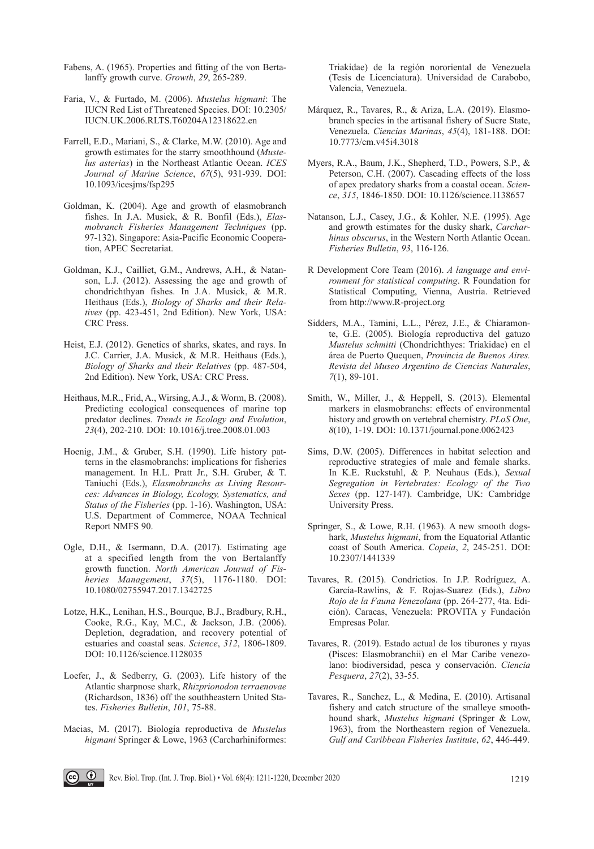- Fabens, A. (1965). Properties and fitting of the von Bertalanffy growth curve. *Growth*, *29*, 265-289.
- Faria, V., & Furtado, M. (2006). *Mustelus higmani*: The IUCN Red List of Threatened Species. DOI: 10.2305/ IUCN.UK.2006.RLTS.T60204A12318622.en
- Farrell, E.D., Mariani, S., & Clarke, M.W. (2010). Age and growth estimates for the starry smoothhound (*Mustelus asterias*) in the Northeast Atlantic Ocean. *ICES Journal of Marine Science*, *67*(5), 931-939. DOI: 10.1093/icesjms/fsp295
- Goldman, K. (2004). Age and growth of elasmobranch fishes. In J.A. Musick, & R. Bonfil (Eds.), *Elasmobranch Fisheries Management Techniques* (pp. 97-132). Singapore: Asia-Pacific Economic Cooperation, APEC Secretariat.
- Goldman, K.J., Cailliet, G.M., Andrews, A.H., & Natanson, L.J. (2012). Assessing the age and growth of chondrichthyan fishes. In J.A. Musick, & M.R. Heithaus (Eds.), *Biology of Sharks and their Relatives* (pp. 423-451, 2nd Edition). New York, USA: CRC Press.
- Heist, E.J. (2012). Genetics of sharks, skates, and rays. In J.C. Carrier, J.A. Musick, & M.R. Heithaus (Eds.), *Biology of Sharks and their Relatives* (pp. 487-504, 2nd Edition). New York, USA: CRC Press.
- Heithaus, M.R., Frid, A., Wirsing, A.J., & Worm, B. (2008). Predicting ecological consequences of marine top predator declines. *Trends in Ecology and Evolution*, *23*(4), 202-210. DOI: 10.1016/j.tree.2008.01.003
- Hoenig, J.M., & Gruber, S.H. (1990). Life history patterns in the elasmobranchs: implications for fisheries management. In H.L. Pratt Jr., S.H. Gruber, & T. Taniuchi (Eds.), *Elasmobranchs as Living Resources: Advances in Biology, Ecology, Systematics, and Status of the Fisheries* (pp. 1-16). Washington, USA: U.S. Department of Commerce, NOAA Technical Report NMFS 90.
- Ogle, D.H., & Isermann, D.A. (2017). Estimating age at a specified length from the von Bertalanffy growth function. *North American Journal of Fisheries Management*, *37*(5), 1176-1180. DOI: 10.1080/02755947.2017.1342725
- Lotze, H.K., Lenihan, H.S., Bourque, B.J., Bradbury, R.H., Cooke, R.G., Kay, M.C., & Jackson, J.B. (2006). Depletion, degradation, and recovery potential of estuaries and coastal seas. *Science*, *312*, 1806-1809. DOI: 10.1126/science.1128035
- Loefer, J., & Sedberry, G. (2003). Life history of the Atlantic sharpnose shark, *Rhizprionodon terraenovae*  (Richardson, 1836) off the southheastern United States. *Fisheries Bulletin*, *101*, 75-88.
- Macias, M. (2017). Biología reproductiva de *Mustelus higmani* Springer & Lowe, 1963 (Carcharhiniformes:

Triakidae) de la región nororiental de Venezuela (Tesis de Licenciatura). Universidad de Carabobo, Valencia, Venezuela.

- Márquez, R., Tavares, R., & Ariza, L.A. (2019). Elasmobranch species in the artisanal fishery of Sucre State, Venezuela. *Ciencias Marinas*, *45*(4), 181-188. DOI: 10.7773/cm.v45i4.3018
- Myers, R.A., Baum, J.K., Shepherd, T.D., Powers, S.P., & Peterson, C.H. (2007). Cascading effects of the loss of apex predatory sharks from a coastal ocean. *Science*, *315*, 1846-1850. DOI: 10.1126/science.1138657
- Natanson, L.J., Casey, J.G., & Kohler, N.E. (1995). Age and growth estimates for the dusky shark, *Carcharhinus obscurus*, in the Western North Atlantic Ocean. *Fisheries Bulletin*, *93*, 116-126.
- R Development Core Team (2016). *A language and environment for statistical computing*. R Foundation for Statistical Computing, Vienna, Austria. Retrieved from http://www.R-project.org
- Sidders, M.A., Tamini, L.L., Pérez, J.E., & Chiaramonte, G.E. (2005). Biología reproductiva del gatuzo *Mustelus schmitti* (Chondrichthyes: Triakidae) en el área de Puerto Quequen, *Provincia de Buenos Aires. Revista del Museo Argentino de Ciencias Naturales*, *7*(1), 89-101.
- Smith, W., Miller, J., & Heppell, S. (2013). Elemental markers in elasmobranchs: effects of environmental history and growth on vertebral chemistry. *PLoS One*, *8*(10), 1-19. DOI: 10.1371/journal.pone.0062423
- Sims, D.W. (2005). Differences in habitat selection and reproductive strategies of male and female sharks. In K.E. Ruckstuhl, & P. Neuhaus (Eds.), *Sexual Segregation in Vertebrates: Ecology of the Two Sexes* (pp. 127-147). Cambridge, UK: Cambridge University Press.
- Springer, S., & Lowe, R.H. (1963). A new smooth dogshark, *Mustelus higmani*, from the Equatorial Atlantic coast of South America. *Copeia*, *2*, 245-251. DOI: 10.2307/1441339
- Tavares, R. (2015). Condrictios. In J.P. Rodríguez, A. García-Rawlins, & F. Rojas-Suarez (Eds.), *Libro Rojo de la Fauna Venezolana* (pp. 264-277, 4ta. Edición). Caracas, Venezuela: PROVITA y Fundación Empresas Polar.
- Tavares, R. (2019). Estado actual de los tiburones y rayas (Pisces: Elasmobranchii) en el Mar Caribe venezolano: biodiversidad, pesca y conservación. *Ciencia Pesquera*, *27*(2), 33-55.
- Tavares, R., Sanchez, L., & Medina, E. (2010). Artisanal fishery and catch structure of the smalleye smoothhound shark, *Mustelus higmani* (Springer & Low, 1963), from the Northeastern region of Venezuela. *Gulf and Caribbean Fisheries Institute*, *62*, 446-449.